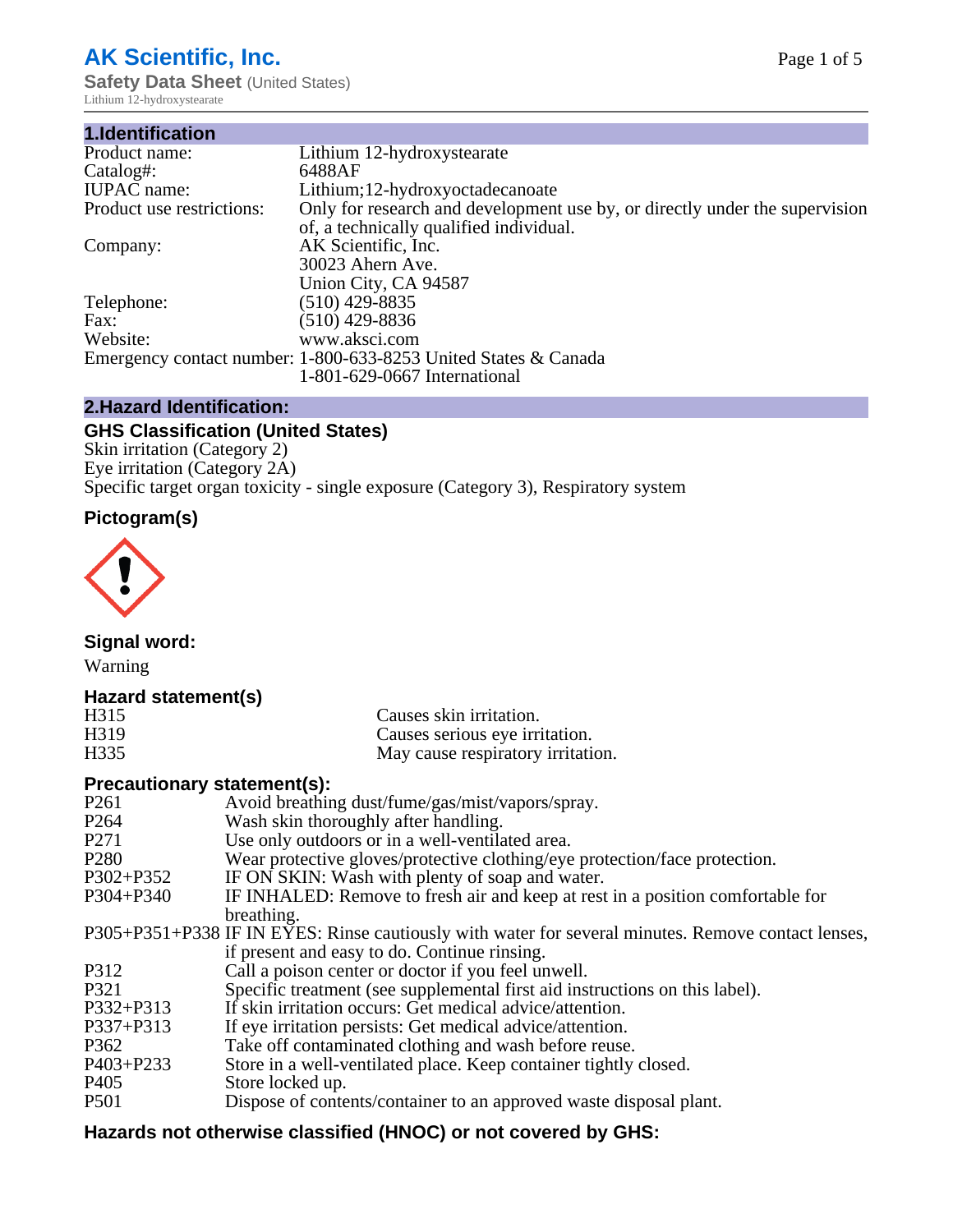# **AK Scientific, Inc.**

**Safety Data Sheet (United States)** Lithium 12-hydroxystearate

| Lithium 12-hydroxystearate                                                  |
|-----------------------------------------------------------------------------|
| 6488AF                                                                      |
| Lithium; 12-hydroxyoctadecanoate                                            |
| Only for research and development use by, or directly under the supervision |
| of, a technically qualified individual.                                     |
| AK Scientific, Inc.                                                         |
| 30023 Ahern Ave.                                                            |
| Union City, CA 94587                                                        |
| $(510)$ 429-8835                                                            |
| (510) 429-8836                                                              |
| www.aksci.com                                                               |
| Emergency contact number: 1-800-633-8253 United States & Canada             |
| 1-801-629-0667 International                                                |
|                                                                             |

# **2.Hazard Identification:**

# **GHS Classification (United States)**

Skin irritation (Category 2) Eye irritation (Category 2A) Specific target organ toxicity - single exposure (Category 3), Respiratory system

# **Pictogram(s)**



**Signal word:**

Warning

# **Hazard statement(s)**

| H <sub>315</sub>  | Causes skin irritation.           |
|-------------------|-----------------------------------|
| H <sub>3</sub> 19 | Causes serious eye irritation.    |
| H335              | May cause respiratory irritation. |

# **Precautionary statement(s):**

| P <sub>261</sub> | Avoid breathing dust/fume/gas/mist/vapors/spray.                                                   |
|------------------|----------------------------------------------------------------------------------------------------|
| P <sub>264</sub> | Wash skin thoroughly after handling.                                                               |
| P <sub>271</sub> | Use only outdoors or in a well-ventilated area.                                                    |
| P <sub>280</sub> | Wear protective gloves/protective clothing/eye protection/face protection.                         |
| P302+P352        | IF ON SKIN: Wash with plenty of soap and water.                                                    |
| $P304 + P340$    | IF INHALED: Remove to fresh air and keep at rest in a position comfortable for                     |
|                  | breathing.                                                                                         |
|                  | P305+P351+P338 IF IN EYES: Rinse cautiously with water for several minutes. Remove contact lenses, |
|                  | if present and easy to do. Continue rinsing.                                                       |
| P312             | Call a poison center or doctor if you feel unwell.                                                 |
| P321             | Specific treatment (see supplemental first aid instructions on this label).                        |
| P332+P313        | If skin irritation occurs: Get medical advice/attention.                                           |
| P337+P313        | If eye irritation persists: Get medical advice/attention.                                          |
| P362             | Take off contaminated clothing and wash before reuse.                                              |
| $P403 + P233$    | Store in a well-ventilated place. Keep container tightly closed.                                   |
| P <sub>405</sub> | Store locked up.                                                                                   |
| P <sub>501</sub> | Dispose of contents/container to an approved waste disposal plant.                                 |
|                  |                                                                                                    |

# **Hazards not otherwise classified (HNOC) or not covered by GHS:**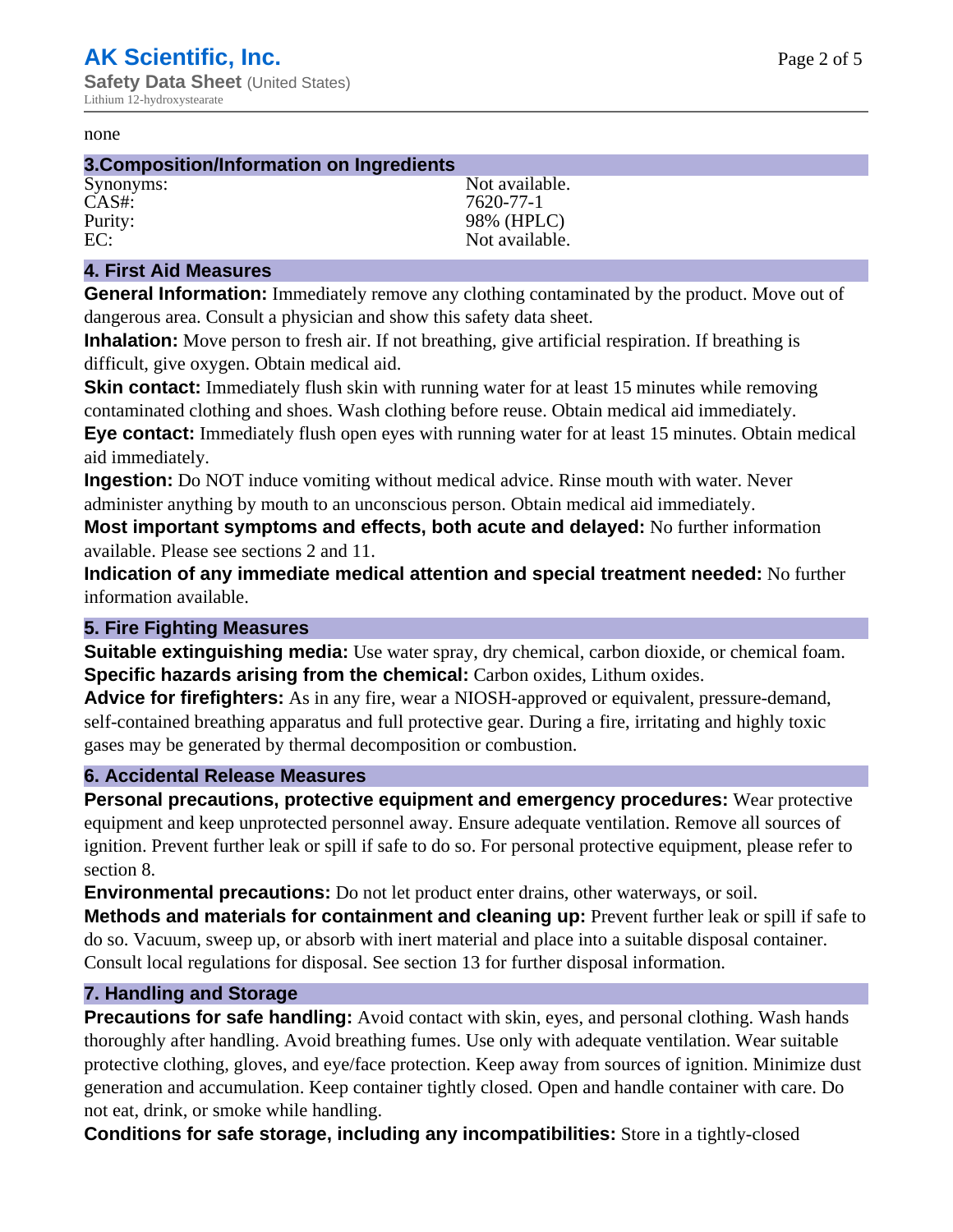#### none

#### **3.Composition/Information on Ingredients**

CAS#: 7620-77-1

Synonyms: Not available. Purity: 98% (HPLC) EC: Not available.

### **4. First Aid Measures**

**General Information:** Immediately remove any clothing contaminated by the product. Move out of dangerous area. Consult a physician and show this safety data sheet.

**Inhalation:** Move person to fresh air. If not breathing, give artificial respiration. If breathing is difficult, give oxygen. Obtain medical aid.

**Skin contact:** Immediately flush skin with running water for at least 15 minutes while removing contaminated clothing and shoes. Wash clothing before reuse. Obtain medical aid immediately. **Eye contact:** Immediately flush open eyes with running water for at least 15 minutes. Obtain medical aid immediately.

**Ingestion:** Do NOT induce vomiting without medical advice. Rinse mouth with water. Never administer anything by mouth to an unconscious person. Obtain medical aid immediately.

**Most important symptoms and effects, both acute and delayed:** No further information available. Please see sections 2 and 11.

**Indication of any immediate medical attention and special treatment needed:** No further information available.

### **5. Fire Fighting Measures**

**Suitable extinguishing media:** Use water spray, dry chemical, carbon dioxide, or chemical foam. **Specific hazards arising from the chemical:** Carbon oxides, Lithum oxides.

**Advice for firefighters:** As in any fire, wear a NIOSH-approved or equivalent, pressure-demand, self-contained breathing apparatus and full protective gear. During a fire, irritating and highly toxic gases may be generated by thermal decomposition or combustion.

### **6. Accidental Release Measures**

**Personal precautions, protective equipment and emergency procedures:** Wear protective equipment and keep unprotected personnel away. Ensure adequate ventilation. Remove all sources of ignition. Prevent further leak or spill if safe to do so. For personal protective equipment, please refer to section 8.

**Environmental precautions:** Do not let product enter drains, other waterways, or soil.

**Methods and materials for containment and cleaning up:** Prevent further leak or spill if safe to do so. Vacuum, sweep up, or absorb with inert material and place into a suitable disposal container. Consult local regulations for disposal. See section 13 for further disposal information.

#### **7. Handling and Storage**

**Precautions for safe handling:** Avoid contact with skin, eyes, and personal clothing. Wash hands thoroughly after handling. Avoid breathing fumes. Use only with adequate ventilation. Wear suitable protective clothing, gloves, and eye/face protection. Keep away from sources of ignition. Minimize dust generation and accumulation. Keep container tightly closed. Open and handle container with care. Do not eat, drink, or smoke while handling.

**Conditions for safe storage, including any incompatibilities:** Store in a tightly-closed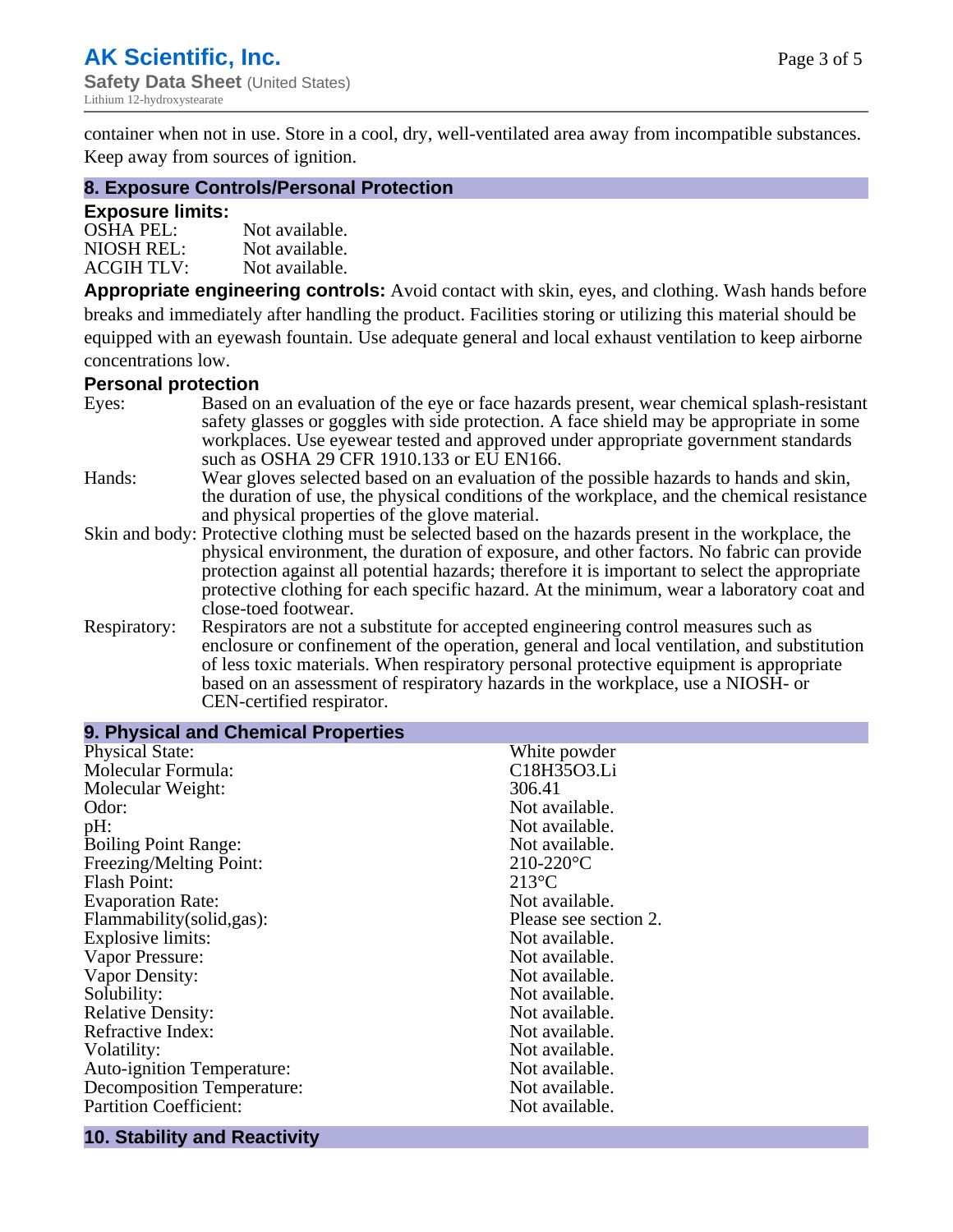container when not in use. Store in a cool, dry, well-ventilated area away from incompatible substances. Keep away from sources of ignition.

#### **8. Exposure Controls/Personal Protection**

#### **Exposure limits:**

| <b>OSHA PEL:</b>  | Not available. |
|-------------------|----------------|
| NIOSH REL:        | Not available. |
| <b>ACGIH TLV:</b> | Not available. |

**Appropriate engineering controls:** Avoid contact with skin, eyes, and clothing. Wash hands before breaks and immediately after handling the product. Facilities storing or utilizing this material should be equipped with an eyewash fountain. Use adequate general and local exhaust ventilation to keep airborne concentrations low.

#### **Personal protection**

| Eyes:        | Based on an evaluation of the eye or face hazards present, wear chemical splash-resistant<br>safety glasses or goggles with side protection. A face shield may be appropriate in some |
|--------------|---------------------------------------------------------------------------------------------------------------------------------------------------------------------------------------|
|              | workplaces. Use eyewear tested and approved under appropriate government standards<br>such as OSHA 29 CFR 1910.133 or EU EN166.                                                       |
| Hands:       | Wear gloves selected based on an evaluation of the possible hazards to hands and skin,                                                                                                |
|              | the duration of use, the physical conditions of the workplace, and the chemical resistance                                                                                            |
|              | and physical properties of the glove material.                                                                                                                                        |
|              | Skin and body: Protective clothing must be selected based on the hazards present in the workplace, the                                                                                |
|              | physical environment, the duration of exposure, and other factors. No fabric can provide                                                                                              |
|              | protection against all potential hazards; therefore it is important to select the appropriate                                                                                         |
|              | protective clothing for each specific hazard. At the minimum, wear a laboratory coat and                                                                                              |
|              | close-toed footwear.                                                                                                                                                                  |
| Respiratory: | Respirators are not a substitute for accepted engineering control measures such as<br>enclosure or confinement of the operation, general and local ventilation, and substitution      |
|              | of less toxic materials. When respiratory personal protective equipment is appropriate                                                                                                |
|              | based on an assessment of respiratory hazards in the workplace, use a NIOSH- or                                                                                                       |
|              | CEN-certified respirator.                                                                                                                                                             |

| 9. Physical and Chemical Properties |                       |
|-------------------------------------|-----------------------|
| <b>Physical State:</b>              | White powder          |
| Molecular Formula:                  | C18H35O3.Li           |
| Molecular Weight:                   | 306.41                |
| Odor:                               | Not available.        |
| pH:                                 | Not available.        |
| <b>Boiling Point Range:</b>         | Not available.        |
| Freezing/Melting Point:             | $210-220$ °C          |
| <b>Flash Point:</b>                 | $213^{\circ}$ C       |
| <b>Evaporation Rate:</b>            | Not available.        |
| Flammability(solid,gas):            | Please see section 2. |
| <b>Explosive limits:</b>            | Not available.        |
| Vapor Pressure:                     | Not available.        |
| Vapor Density:                      | Not available.        |
| Solubility:                         | Not available.        |
| <b>Relative Density:</b>            | Not available.        |
| Refractive Index:                   | Not available.        |
| Volatility:                         | Not available.        |
| <b>Auto-ignition Temperature:</b>   | Not available.        |
| <b>Decomposition Temperature:</b>   | Not available.        |
| <b>Partition Coefficient:</b>       | Not available.        |
|                                     |                       |

# **10. Stability and Reactivity**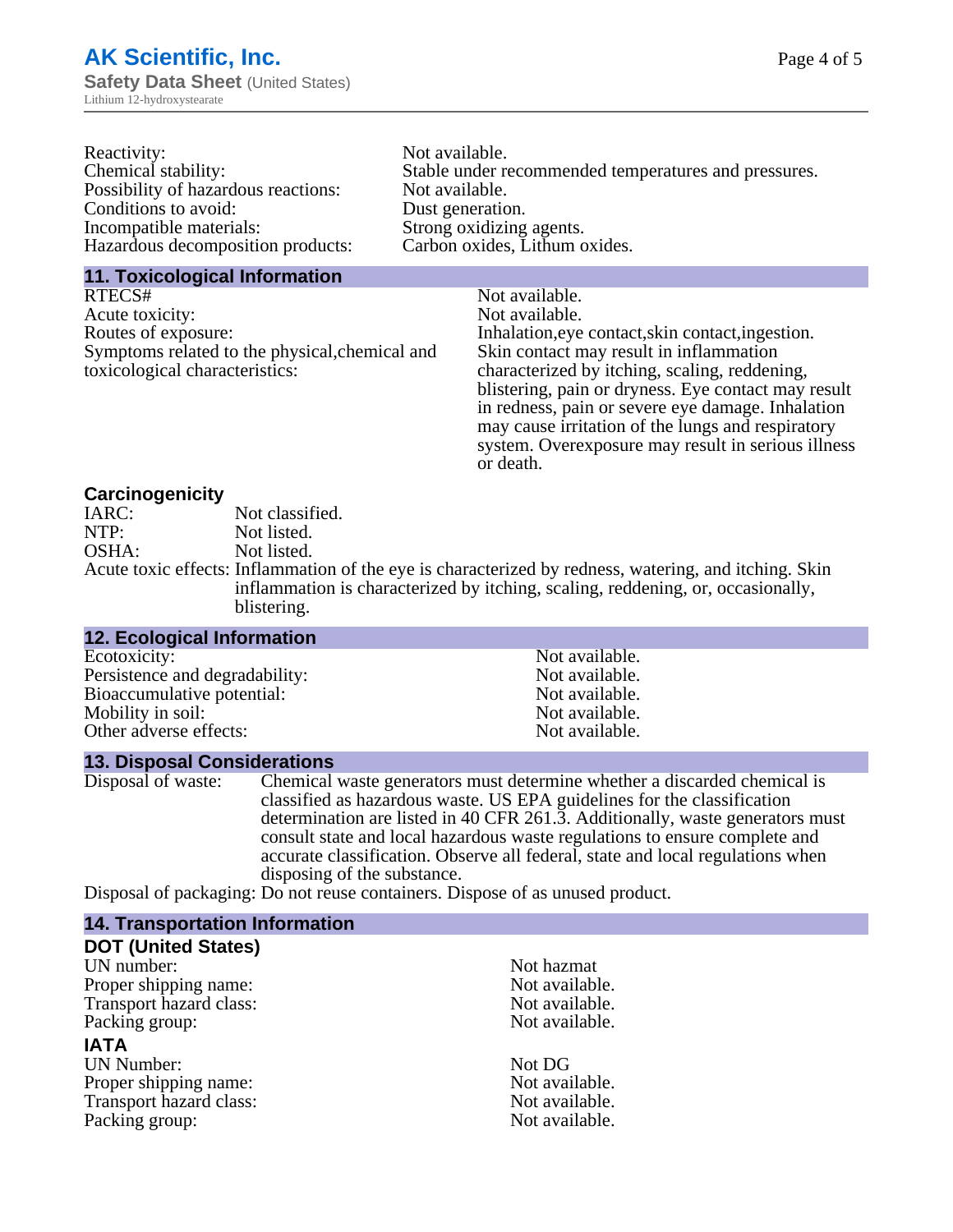| Reactivity:                         | Not available.                                       |
|-------------------------------------|------------------------------------------------------|
| Chemical stability:                 | Stable under recommended temperatures and pressures. |
| Possibility of hazardous reactions: | Not available.                                       |
| Conditions to avoid:                | Dust generation.                                     |
| Incompatible materials:             | Strong oxidizing agents.                             |
| Hazardous decomposition products:   | Carbon oxides, Lithum oxides.                        |
|                                     |                                                      |

#### **11. Toxicological Information**

| RTECS#                                         | Not available.                                      |
|------------------------------------------------|-----------------------------------------------------|
| Acute toxicity:                                | Not available.                                      |
| Routes of exposure:                            | Inhalation, eye contact, skin contact, ingestion.   |
| Symptoms related to the physical, chemical and | Skin contact may result in inflammation             |
| toxicological characteristics:                 | characterized by itching, scaling, reddening,       |
|                                                | blistering, pain or dryness. Eye contact may result |
|                                                | in redness, pain or severe eye damage. Inhalation   |
|                                                | may cause irritation of the lungs and respiratory   |
|                                                | system. Overexposure may result in serious illness  |

or death.

#### **Carcinogenicity**

| IARC: | Not classified.                                                                                      |
|-------|------------------------------------------------------------------------------------------------------|
| NTP:  | Not listed.                                                                                          |
| OSHA: | Not listed.                                                                                          |
|       | Acute toxic effects: Inflammation of the eye is characterized by redness, watering, and itching. Ski |
|       | inflammation is characterized by itching, scaling, reddening, or, occasionally,                      |
|       | blistering.                                                                                          |

| 12. Ecological Information     |                |  |
|--------------------------------|----------------|--|
| Ecotoxicity:                   | Not available. |  |
| Persistence and degradability: | Not available. |  |
| Bioaccumulative potential:     | Not available. |  |
| Mobility in soil:              | Not available. |  |
| Other adverse effects:         | Not available. |  |
|                                |                |  |

#### **13. Disposal Considerations**

Disposal of waste: Chemical waste generators must determine whether a discarded chemical is classified as hazardous waste. US EPA guidelines for the classification determination are listed in 40 CFR 261.3. Additionally, waste generators must consult state and local hazardous waste regulations to ensure complete and accurate classification. Observe all federal, state and local regulations when disposing of the substance.

Disposal of packaging: Do not reuse containers. Dispose of as unused product.

| <b>14. Transportation Information</b> |                |
|---------------------------------------|----------------|
| <b>DOT (United States)</b>            |                |
| UN number:                            | Not hazmat     |
| Proper shipping name:                 | Not available. |
| Transport hazard class:               | Not available. |
| Packing group:                        | Not available. |
| <b>IATA</b>                           |                |
| <b>UN Number:</b>                     | Not DG         |
| Proper shipping name:                 | Not available. |
| Transport hazard class:               | Not available. |
| Packing group:                        | Not available. |